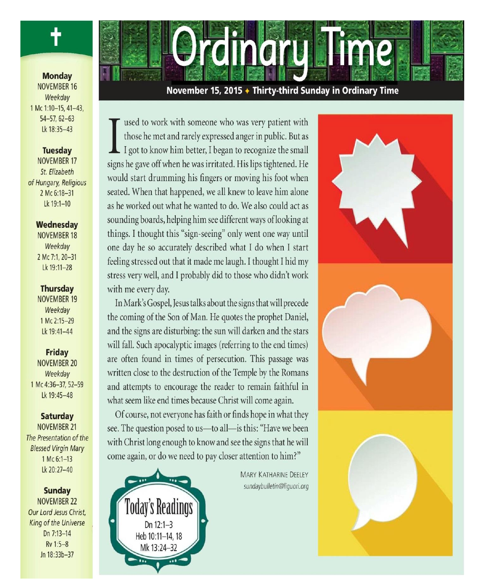

**Monday NOVEMBER 16** Weekday 1 Mc 1:10-15, 41-43,  $54 - 57.62 - 63$ Lk 18:35-43

## **Tuesday**

**NOVEMBER 17** St. Elizabeth of Hungary, Religious 2 Mc 6:18-31 Lk 19:1-10

#### Wednesday

**NOVEMBER 18** Weekday 2 Mc 7:1, 20-31 Lk 19:11-28

#### **Thursday**

**NOVEMBER 19** Weekday 1 Mc 2:15-29 Lk 19:41-44

#### **Friday**

**NOVEMBER 20** Weekday 1 Mc 4:36-37, 52-59 Lk 19:45-48

#### **Saturday**

**NOVEMBER 21** The Presentation of the **Blessed Virgin Mary** 1 Mc 6:1-13 Lk 20:27-40

#### **Sunday**

**NOVEMBER 22** Our Lord Jesus Christ, King of the Universe Dn 7:13-14 Rv 1:5-8 Jn 18:33b-37



#### November 15, 2015 ♦ Thirty-third Sunday in Ordinary Time

used to work with someone who was very patient with those he met and rarely expressed anger in public. But as I got to know him better, I began to recognize the small signs he gave off when he was irritated. His lips tightened. He would start drumming his fingers or moving his foot when seated. When that happened, we all knew to leave him alone as he worked out what he wanted to do. We also could act as sounding boards, helping him see different ways of looking at things. I thought this "sign-seeing" only went one way until one day he so accurately described what I do when I start feeling stressed out that it made me laugh. I thought I hid my stress very well, and I probably did to those who didn't work with me every day.

In Mark's Gospel, Jesus talks about the signs that will precede the coming of the Son of Man. He quotes the prophet Daniel, and the signs are disturbing: the sun will darken and the stars will fall. Such apocalyptic images (referring to the end times) are often found in times of persecution. This passage was written close to the destruction of the Temple by the Romans and attempts to encourage the reader to remain faithful in what seem like end times because Christ will come again.

Of course, not everyone has faith or finds hope in what they see. The question posed to us-to all-is this: "Have we been with Christ long enough to know and see the signs that he will come again, or do we need to pay closer attention to him?"



**MARY KATHARINE DEELEY** sundaybulletin@liquori.org



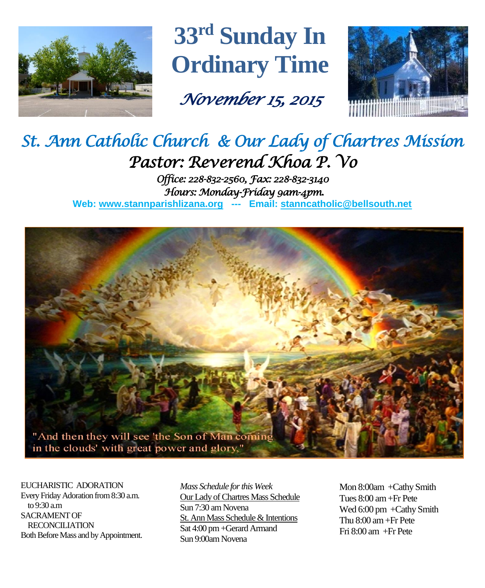

**33 rd Sunday In Ordinary Time**

*November 15, 2015* 



# *St. Ann Catholic Church & Our Lady of Chartres Mission Pastor: Reverend Khoa P. Vo*

*Office: 228-832-2560, Fax: 228-832-3140 Hours: Monday-Friday 9am-4pm.*  **Web: www.stannparishlizana.org --- Email: [stanncatholic@bellsouth.net](mailto:stanncatholic@bellsouth.net)**



EUCHARISTIC ADORATION Every Friday Adoration from 8:30 a.m. to 9:30 a.m SACRAMENT OF RECONCILIATION Both Before Mass and by Appointment. *Mass Schedule for this Week*  Our Lady of Chartres Mass Schedule Sun 7:30 am Novena St. Ann Mass Schedule & Intentions Sat 4:00 pm +Gerard Armand Sun 9:00am Novena

Mon 8:00am +Cathy Smith Tues 8:00 am +Fr Pete Wed 6:00 pm +Cathy Smith Thu 8:00 am+Fr Pete Fri 8:00 am +Fr Pete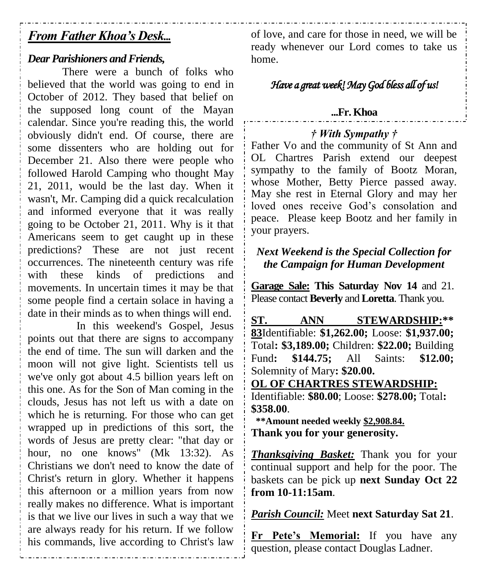## *From Father Khoa's Desk...*

#### *Dear Parishioners and Friends,*

There were a bunch of folks who believed that the world was going to end in October of 2012. They based that belief on the supposed long count of the Mayan calendar. Since you're reading this, the world obviously didn't end. Of course, there are some dissenters who are holding out for December 21. Also there were people who followed Harold Camping who thought May 21, 2011, would be the last day. When it wasn't, Mr. Camping did a quick recalculation and informed everyone that it was really going to be October 21, 2011. Why is it that Americans seem to get caught up in these predictions? These are not just recent occurrences. The nineteenth century was rife with these kinds of predictions and movements. In uncertain times it may be that some people find a certain solace in having a date in their minds as to when things will end.

In this weekend's Gospel, Jesus points out that there are signs to accompany the end of time. The sun will darken and the moon will not give light. Scientists tell us we've only got about 4.5 billion years left on this one. As for the Son of Man coming in the clouds, Jesus has not left us with a date on which he is returning. For those who can get wrapped up in predictions of this sort, the words of Jesus are pretty clear: "that day or hour, no one knows" (Mk 13:32). As Christians we don't need to know the date of Christ's return in glory. Whether it happens this afternoon or a million years from now really makes no difference. What is important is that we live our lives in such a way that we are always ready for his return. If we follow his commands, live according to Christ's law of love, and care for those in need, we will be ready whenever our Lord comes to take us home.

## *Have a great week! May God bless all of us!*

### **...Fr. Khoa**

### *† With Sympathy †*

Father Vo and the community of St Ann and OL Chartres Parish extend our deepest sympathy to the family of Bootz Moran, whose Mother, Betty Pierce passed away. May she rest in Eternal Glory and may her loved ones receive God's consolation and peace. Please keep Bootz and her family in your prayers.

## *Next Weekend is the Special Collection for the Campaign for Human Development*

**Garage Sale: This Saturday Nov 14** and 21. Please contact **Beverly** and **Loretta**. Thank you.

**ST. ANN STEWARDSHIP:\*\* 83**Identifiable: **\$1,262.00;** Loose: **\$1,937.00;**  Total**: \$3,189.00;** Children: **\$22.00;** Building Fund**: \$144.75;** All Saints: **\$12.00;**  Solemnity of Mary**: \$20.00.**

**OL OF CHARTRES STEWARDSHIP:** Identifiable: **\$80.00**; Loose: **\$278.00;** Total**: \$358.00**.

 **\*\*Amount needed weekly \$2,908.84. Thank you for your generosity.**

*Thanksgiving Basket:* Thank you for your continual support and help for the poor. The baskets can be pick up **next Sunday Oct 22 from 10-11:15am**.

*Parish Council:* Meet **next Saturday Sat 21**.

**Fr Pete's Memorial:** If you have any question, please contact Douglas Ladner.